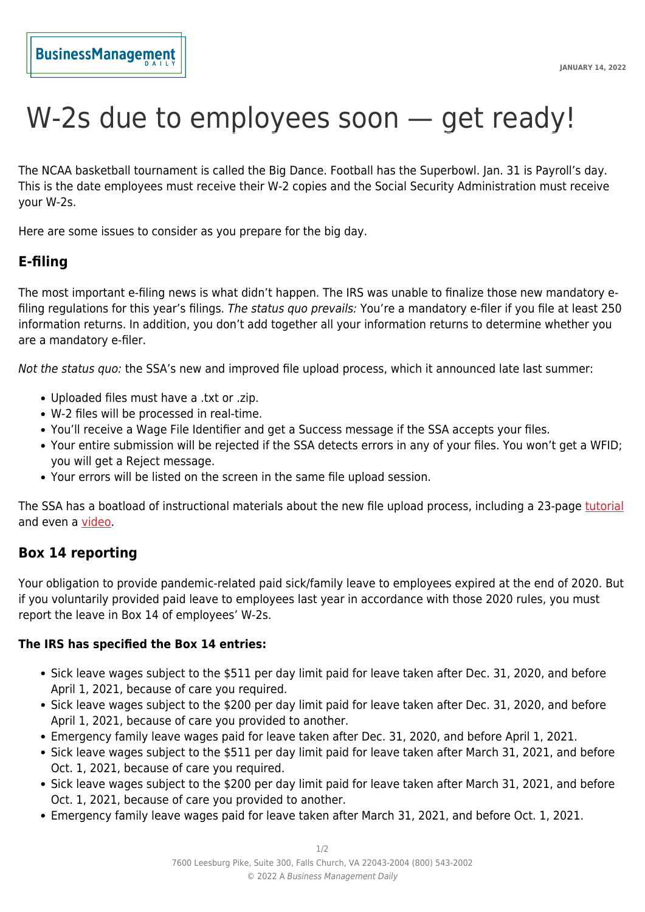# W-2s due to employees soon – get ready!

The NCAA basketball tournament is called the Big Dance. Football has the Superbowl. Jan. 31 is Payroll's day. This is the date employees must receive their W-2 copies and the Social Security Administration must receive your W-2s.

Here are some issues to consider as you prepare for the big day.

## **E-filing**

The most important e-filing news is what didn't happen. The IRS was unable to finalize those new mandatory efiling regulations for this year's filings. The status quo prevails: You're a mandatory e-filer if you file at least 250 information returns. In addition, you don't add together all your information returns to determine whether you are a mandatory e-filer.

Not the status quo: the SSA's new and improved file upload process, which it announced late last summer:

- Uploaded files must have a .txt or .zip.
- W-2 files will be processed in real-time.
- You'll receive a Wage File Identifier and get a Success message if the SSA accepts your files.
- Your entire submission will be rejected if the SSA detects errors in any of your files. You won't get a WFID; you will get a Reject message.
- Your errors will be listed on the screen in the same file upload session.

The SSA has a boatload of instructional materials about the new file upload process, including a 23-page [tutorial](https://www.ssa.gov/employer/wagereporting/WageFileUpload-Tutorial.pdf?utm_campaign=oest-w2-news&utm_content=wage-file-upload-tutorial-dec2021&utm_medium=email&utm_source=govdelivery) and even a [video](https://www.youtube.com/watch?v=mDs37P5gzNA).

### **Box 14 reporting**

Your obligation to provide pandemic-related paid sick/family leave to employees expired at the end of 2020. But if you voluntarily provided paid leave to employees last year in accordance with those 2020 rules, you must report the leave in Box 14 of employees' W-2s.

#### **The IRS has specified the Box 14 entries:**

- Sick leave wages subject to the \$511 per day limit paid for leave taken after Dec. 31, 2020, and before April 1, 2021, because of care you required.
- Sick leave wages subject to the \$200 per day limit paid for leave taken after Dec. 31, 2020, and before April 1, 2021, because of care you provided to another.
- Emergency family leave wages paid for leave taken after Dec. 31, 2020, and before April 1, 2021.
- Sick leave wages subject to the \$511 per day limit paid for leave taken after March 31, 2021, and before Oct. 1, 2021, because of care you required.
- Sick leave wages subject to the \$200 per day limit paid for leave taken after March 31, 2021, and before Oct. 1, 2021, because of care you provided to another.
- Emergency family leave wages paid for leave taken after March 31, 2021, and before Oct. 1, 2021.